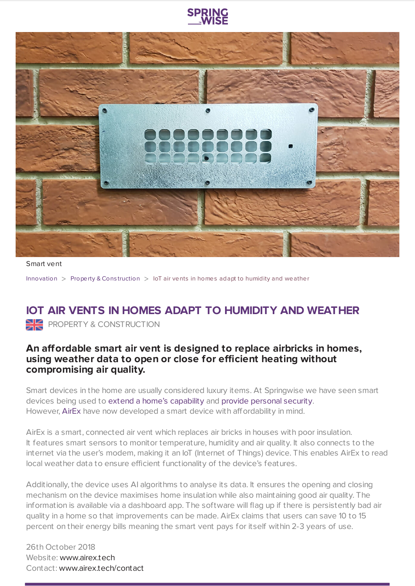



Smart vent

[Innovation](https://www.springwise.com/search?type=innovation) > [Property](https://www.springwise.com/search?type=innovation§or=property-and-construction) & Construction > IoT air vents in homes adapt to humidity and weather

## **IOT AIR VENTS IN HOMES ADAPT TO HUMIDITY AND WEATHER** PROPERTY & CONSTRUCTION

## **An affordable smart air vent is designed to replace airbricks in homes, using weather data to open or close for efficient heating without compromising air quality.**

Smart devices in the home are usually considered luxury items. At Springwise we have seen smart devices being used to extend a home's [capability](https://www.springwise.com/intelligent-system-makes-homes-reactive/) and provide [personal](https://www.springwise.com/flying-robot-can-patrol-homes-autonomously-users-away/) security. However, [AirEx](https://www.airex.tech/) have now developed a smart device with affordability in mind.

AirEx is a smart, connected air vent which replaces air bricks in houses with poor insulation. It features smart sensors to monitor temperature, humidity and air quality. It also connects to the internet via the user's modem, making it an IoT (Internet of Things) device. This enables AirEx to read local weather data to ensure efficient functionality of the device's features.

Additionally, the device uses AI algorithms to analyse its data. It ensures the opening and closing mechanism on the device maximises home insulation while also maintaining good air quality. The information is available via a dashboard app. The software will flag up if there is persistently bad air quality in a home so that improvements can be made. AirEx claims that users can save 10 to 15 percent on their energy bills meaning the smart vent pays for itself within 2-3 years of use.

26th October 2018 Website: [www.airex.tech](https://www.airex.tech/) Contact: [www.airex.tech/contact](https://www.airex.tech/)